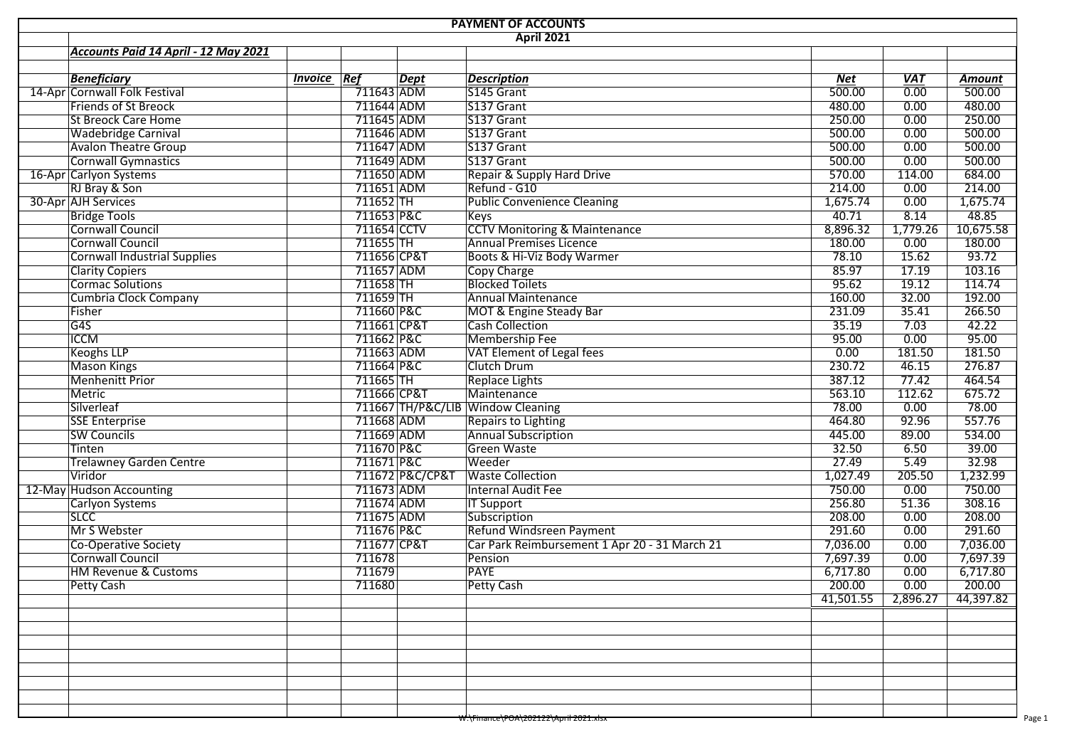| <b>PAYMENT OF ACCOUNTS</b>           |                    |                         |                 |                                                  |           |            |               |  |  |  |  |  |
|--------------------------------------|--------------------|-------------------------|-----------------|--------------------------------------------------|-----------|------------|---------------|--|--|--|--|--|
|                                      |                    |                         |                 | <b>April 2021</b>                                |           |            |               |  |  |  |  |  |
| Accounts Paid 14 April - 12 May 2021 |                    |                         |                 |                                                  |           |            |               |  |  |  |  |  |
|                                      |                    |                         |                 |                                                  |           |            |               |  |  |  |  |  |
| <b>Beneficiary</b>                   | <b>Invoice Ref</b> |                         | <b>Dept</b>     | <b>Description</b>                               | Net       | <b>VAT</b> | <b>Amount</b> |  |  |  |  |  |
| 14-Apr Cornwall Folk Festival        |                    | $\overline{711643}$ ADM |                 | S145 Grant                                       | 500.00    | 0.00       | 500.00        |  |  |  |  |  |
| <b>Friends of St Breock</b>          |                    | 711644 ADM              |                 | S137 Grant                                       | 480.00    | 0.00       | 480.00        |  |  |  |  |  |
| <b>St Breock Care Home</b>           |                    | 711645 ADM              |                 | S137 Grant                                       | 250.00    | 0.00       | 250.00        |  |  |  |  |  |
| <b>Wadebridge Carnival</b>           |                    | 711646 ADM              |                 | S137 Grant                                       | 500.00    | 0.00       | 500.00        |  |  |  |  |  |
| <b>Avalon Theatre Group</b>          |                    | 711647 ADM              |                 | S137 Grant                                       | 500.00    | 0.00       | 500.00        |  |  |  |  |  |
| Cornwall Gymnastics                  |                    | 711649 ADM              |                 | S137 Grant                                       | 500.00    | 0.00       | 500.00        |  |  |  |  |  |
| 16-Apr Carlyon Systems               |                    | 711650 ADM              |                 | Repair & Supply Hard Drive                       | 570.00    | 114.00     | 684.00        |  |  |  |  |  |
| RJ Bray & Son                        |                    | 711651 ADM              |                 | Refund - G10                                     | 214.00    | 0.00       | 214.00        |  |  |  |  |  |
| 30-Apr AJH Services                  |                    | 711652 TH               |                 | <b>Public Convenience Cleaning</b>               | 1,675.74  | 0.00       | 1,675.74      |  |  |  |  |  |
| <b>Bridge Tools</b>                  |                    | 711653 P&C              |                 | <b>Keys</b>                                      | 40.71     | 8.14       | 48.85         |  |  |  |  |  |
| Cornwall Council                     |                    | 711654 CCTV             |                 | <b>CCTV Monitoring &amp; Maintenance</b>         | 8,896.32  | 1,779.26   | 10,675.58     |  |  |  |  |  |
| <b>Cornwall Council</b>              |                    | $711655$ TH             |                 | <b>Annual Premises Licence</b>                   | 180.00    | 0.00       | 180.00        |  |  |  |  |  |
| <b>Cornwall Industrial Supplies</b>  |                    | 711656 CP&T             |                 | Boots & Hi-Viz Body Warmer                       | 78.10     | 15.62      | 93.72         |  |  |  |  |  |
| <b>Clarity Copiers</b>               |                    | 711657 ADM              |                 | Copy Charge                                      | 85.97     | 17.19      | 103.16        |  |  |  |  |  |
| Cormac Solutions                     |                    | 711658 TH               |                 | <b>Blocked Toilets</b>                           | 95.62     | 19.12      | 114.74        |  |  |  |  |  |
| Cumbria Clock Company                |                    | $711659$ TH             |                 | <b>Annual Maintenance</b>                        | 160.00    | 32.00      | 192.00        |  |  |  |  |  |
| Fisher                               |                    | 711660 P&C              |                 | MOT & Engine Steady Bar                          | 231.09    | 35.41      | 266.50        |  |  |  |  |  |
| G4S                                  |                    | 711661 CP&T             |                 | <b>Cash Collection</b>                           | 35.19     | 7.03       | 42.22         |  |  |  |  |  |
| <b>ICCM</b>                          |                    | 711662 P&C              |                 | Membership Fee                                   | 95.00     | 0.00       | 95.00         |  |  |  |  |  |
| <b>Keoghs LLP</b>                    |                    | 711663 ADM              |                 | VAT Element of Legal fees                        | 0.00      | 181.50     | 181.50        |  |  |  |  |  |
| <b>Mason Kings</b>                   |                    | 711664 P&C              |                 | Clutch Drum                                      | 230.72    | 46.15      | 276.87        |  |  |  |  |  |
| <b>Menhenitt Prior</b>               |                    | 711665 TH               |                 | <b>Replace Lights</b>                            | 387.12    | 77.42      | 464.54        |  |  |  |  |  |
| Metric                               |                    | 711666 CP&T             |                 | Maintenance                                      | 563.10    | 112.62     | 675.72        |  |  |  |  |  |
| Silverleaf                           |                    |                         |                 | 711667 TH/P&C/LIB Window Cleaning                | 78.00     | 0.00       | 78.00         |  |  |  |  |  |
| <b>SSE Enterprise</b>                |                    | 711668 ADM              |                 | Repairs to Lighting                              | 464.80    | 92.96      | 557.76        |  |  |  |  |  |
| <b>SW Councils</b>                   |                    | 711669 ADM              |                 | <b>Annual Subscription</b>                       | 445.00    | 89.00      | 534.00        |  |  |  |  |  |
| Tinten                               |                    | 711670 P&C              |                 | <b>Green Waste</b>                               | 32.50     | 6.50       | 39.00         |  |  |  |  |  |
| <b>Trelawney Garden Centre</b>       |                    | 711671 P&C              |                 | Weeder                                           | 27.49     | 5.49       | 32.98         |  |  |  |  |  |
| Viridor                              |                    |                         | 711672 P&C/CP&T | <b>Waste Collection</b>                          | 1,027.49  | 205.50     | 1,232.99      |  |  |  |  |  |
|                                      |                    | 711673 ADM              |                 | Internal Audit Fee                               | 750.00    | 0.00       | 750.00        |  |  |  |  |  |
| 12-May Hudson Accounting             |                    |                         |                 |                                                  |           |            |               |  |  |  |  |  |
| <b>Carlyon Systems</b>               |                    | 711674 ADM              |                 | <b>IT Support</b>                                | 256.80    | 51.36      | 308.16        |  |  |  |  |  |
| <b>SLCC</b>                          |                    | 711675 ADM              |                 | Subscription                                     | 208.00    | 0.00       | 208.00        |  |  |  |  |  |
| Mr S Webster                         |                    | 711676 P&C              |                 | Refund Windsreen Payment                         | 291.60    | 0.00       | 291.60        |  |  |  |  |  |
| Co-Operative Society                 |                    | 711677 CP&T             |                 | Car Park Reimbursement 1 Apr 20 - 31 March 21    | 7,036.00  | 0.00       | 7,036.00      |  |  |  |  |  |
| Cornwall Council                     |                    | 711678                  |                 | Pension                                          | 7,697.39  | 0.00       | 7,697.39      |  |  |  |  |  |
| <b>HM Revenue &amp; Customs</b>      |                    | 711679                  |                 | <b>PAYE</b>                                      | 6,717.80  | 0.00       | 6,717.80      |  |  |  |  |  |
| Petty Cash                           |                    | 711680                  |                 | Petty Cash                                       | 200.00    | 0.00       | 200.00        |  |  |  |  |  |
|                                      |                    |                         |                 |                                                  | 41,501.55 | 2,896.27   | 44,397.82     |  |  |  |  |  |
|                                      |                    |                         |                 |                                                  |           |            |               |  |  |  |  |  |
|                                      |                    |                         |                 |                                                  |           |            |               |  |  |  |  |  |
|                                      |                    |                         |                 |                                                  |           |            |               |  |  |  |  |  |
|                                      |                    |                         |                 |                                                  |           |            |               |  |  |  |  |  |
|                                      |                    |                         |                 |                                                  |           |            |               |  |  |  |  |  |
|                                      |                    |                         |                 |                                                  |           |            |               |  |  |  |  |  |
|                                      |                    |                         |                 |                                                  |           |            |               |  |  |  |  |  |
|                                      |                    |                         |                 | <del>W:\Finance\POA\202122\April 2021.xlsx</del> |           |            |               |  |  |  |  |  |